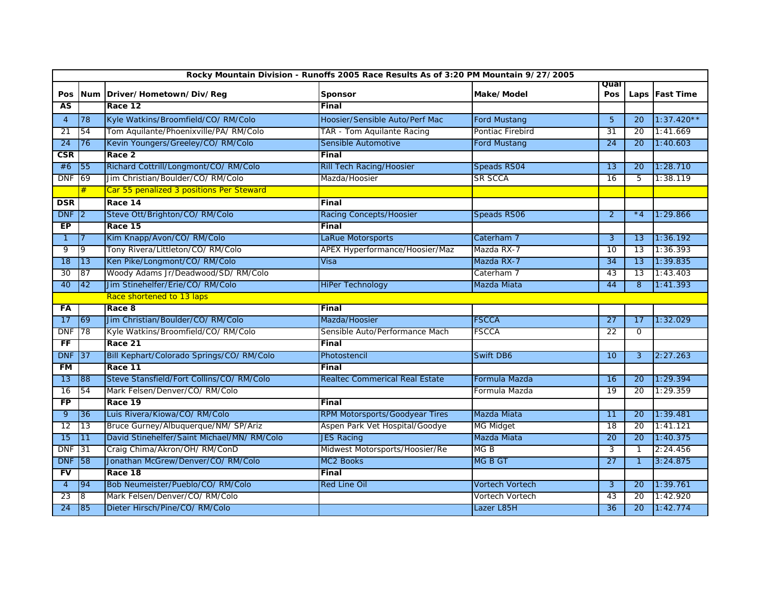| Rocky Mountain Division - Runoffs 2005 Race Results As of 3:20 PM Mountain 9/27/2005 |                 |                                            |                                       |                        |                 |                 |                  |  |  |  |  |
|--------------------------------------------------------------------------------------|-----------------|--------------------------------------------|---------------------------------------|------------------------|-----------------|-----------------|------------------|--|--|--|--|
|                                                                                      |                 |                                            |                                       |                        | Qual            |                 |                  |  |  |  |  |
| Pos<br>AS                                                                            |                 | Num Driver/Hometown/Div/Reg<br>Race 12     | Sponsor<br>Final                      | Make/Model             | Pos             |                 | Laps   Fast Time |  |  |  |  |
|                                                                                      |                 |                                            |                                       |                        |                 |                 |                  |  |  |  |  |
| $\overline{4}$                                                                       | 78              | Kyle Watkins/Broomfield/CO/RM/Colo         | Hoosier/Sensible Auto/Perf Mac        | <b>Ford Mustang</b>    | 5               | 20              | $1:37.420**$     |  |  |  |  |
| 21                                                                                   | 54              | Tom Aquilante/Phoenixville/PA/ RM/Colo     | TAR - Tom Aquilante Racing            | Pontiac Firebird       | 31              | 20              | 1:41.669         |  |  |  |  |
| 24                                                                                   | 76              | Kevin Youngers/Greeley/CO/ RM/Colo         | Sensible Automotive                   | <b>Ford Mustang</b>    | 24              | 20              | 1:40.603         |  |  |  |  |
| $\overline{\text{CSR}}$                                                              |                 | Race 2                                     | Final                                 |                        |                 |                 |                  |  |  |  |  |
| #6                                                                                   | 55              | Richard Cottrill/Longmont/CO/RM/Colo       | <b>Rill Tech Racing/Hoosier</b>       | Speads RS04            | $\overline{13}$ | 20              | 1:28.710         |  |  |  |  |
| <b>DNF</b>                                                                           | 69              | Jim Christian/Boulder/CO/RM/Colo           | Mazda/Hoosier                         | <b>SR SCCA</b>         | 16              | 5               | 1:38.119         |  |  |  |  |
|                                                                                      | #               | Car 55 penalized 3 positions Per Steward   |                                       |                        |                 |                 |                  |  |  |  |  |
| <b>DSR</b>                                                                           |                 | Race 14                                    | Final                                 |                        |                 |                 |                  |  |  |  |  |
| <b>DNF</b>                                                                           | 2               | Steve Ott/Brighton/CO/ RM/Colo             | <b>Racing Concepts/Hoosier</b>        | Speads RS06            | $\overline{2}$  | $*_{4}$         | 1:29.866         |  |  |  |  |
| EP                                                                                   |                 | Race 15                                    | Final                                 |                        |                 |                 |                  |  |  |  |  |
| $\mathbf{1}$                                                                         |                 | Kim Knapp/Avon/CO/ RM/Colo                 | LaRue Motorsports                     | Caterham 7             | 3               | 13              | 1:36.192         |  |  |  |  |
| 9                                                                                    | 9               | Tony Rivera/Littleton/CO/ RM/Colo          | APEX Hyperformance/Hoosier/Maz        | Mazda RX-7             | 10              | 13              | 1:36.393         |  |  |  |  |
| 18                                                                                   | 13              | Ken Pike/Longmont/CO/ RM/Colo              | Visa                                  | Mazda RX-7             | $\overline{34}$ | 13              | 1:39.835         |  |  |  |  |
| 30                                                                                   | 87              | Woody Adams Jr/Deadwood/SD/RM/Colo         |                                       | Caterham 7             | 43              | 13              | 1:43.403         |  |  |  |  |
| 40                                                                                   | 42              | Jim Stinehelfer/Erie/CO/ RM/Colo           | <b>HiPer Technology</b>               | Mazda Miata            | 44              | 8               | 1:41.393         |  |  |  |  |
|                                                                                      |                 | Race shortened to 13 laps                  |                                       |                        |                 |                 |                  |  |  |  |  |
| FА                                                                                   |                 | Race 8                                     | Final                                 |                        |                 |                 |                  |  |  |  |  |
| 17                                                                                   | 69              | Jim Christian/Boulder/CO/RM/Colo           | Mazda/Hoosier                         | <b>FSCCA</b>           | 27              | 17              | 1:32.029         |  |  |  |  |
| <b>DNF</b>                                                                           | 78              | Kyle Watkins/Broomfield/CO/RM/Colo         | Sensible Auto/Performance Mach        | <b>FSCCA</b>           | 22              | 0               |                  |  |  |  |  |
| $F$ F                                                                                |                 | Race 21                                    | Final                                 |                        |                 |                 |                  |  |  |  |  |
| <b>DNF</b>                                                                           | 37              | Bill Kephart/Colorado Springs/CO/RM/Colo   | Photostencil                          | Swift DB6              | 10              | 3               | 2:27.263         |  |  |  |  |
| <b>FM</b>                                                                            |                 | Race 11                                    | Final                                 |                        |                 |                 |                  |  |  |  |  |
| 13                                                                                   | 88              | Steve Stansfield/Fort Collins/CO/RM/Colo   | <b>Realtec Commerical Real Estate</b> | Formula Mazda          | 16              | 20              | 1:29.394         |  |  |  |  |
| 16                                                                                   | 54              | Mark Felsen/Denver/CO/RM/Colo              |                                       | Formula Mazda          | $\overline{19}$ | $\overline{20}$ | 1:29.359         |  |  |  |  |
| <b>FP</b>                                                                            |                 | Race 19                                    | Final                                 |                        |                 |                 |                  |  |  |  |  |
| 9                                                                                    | 36              | Luis Rivera/Kiowa/CO/RM/Colo               | <b>RPM Motorsports/Goodyear Tires</b> | Mazda Miata            | 11              | 20              | 1:39.481         |  |  |  |  |
| 12                                                                                   | $\overline{13}$ | Bruce Gurney/Albuquerque/NM/ SP/Ariz       | Aspen Park Vet Hospital/Goodye        | <b>MG Midget</b>       | 18              | 20              | 1:41.121         |  |  |  |  |
| 15                                                                                   | 11              | David Stinehelfer/Saint Michael/MN/RM/Colo | <b>JES Racing</b>                     | Mazda Miata            | 20              | 20              | 1:40.375         |  |  |  |  |
| <b>DNF</b>                                                                           | 31              | Craig Chima/Akron/OH/ RM/ConD              | Midwest Motorsports/Hoosier/Re        | MG <sub>B</sub>        | 3               | $\mathbf{1}$    | 2:24.456         |  |  |  |  |
| <b>DNF</b>                                                                           | 58              | Jonathan McGrew/Denver/CO/RM/Colo          | <b>MC2 Books</b>                      | <b>MGBGT</b>           | 27              | -1              | 3:24.875         |  |  |  |  |
| <b>FV</b>                                                                            |                 | Race 18                                    | Final                                 |                        |                 |                 |                  |  |  |  |  |
| 4                                                                                    | 94              | Bob Neumeister/Pueblo/CO/RM/Colo           | <b>Red Line Oil</b>                   | <b>Vortech Vortech</b> | 3               | 20 <sup>2</sup> | 1:39.761         |  |  |  |  |
| 23                                                                                   | 8               | Mark Felsen/Denver/CO/ RM/Colo             |                                       | Vortech Vortech        | 43              | 20              | 1:42.920         |  |  |  |  |
| 24                                                                                   | 85              | Dieter Hirsch/Pine/CO/RM/Colo              |                                       | Lazer L85H             | 36              | 20 <sup>2</sup> | 1:42.774         |  |  |  |  |